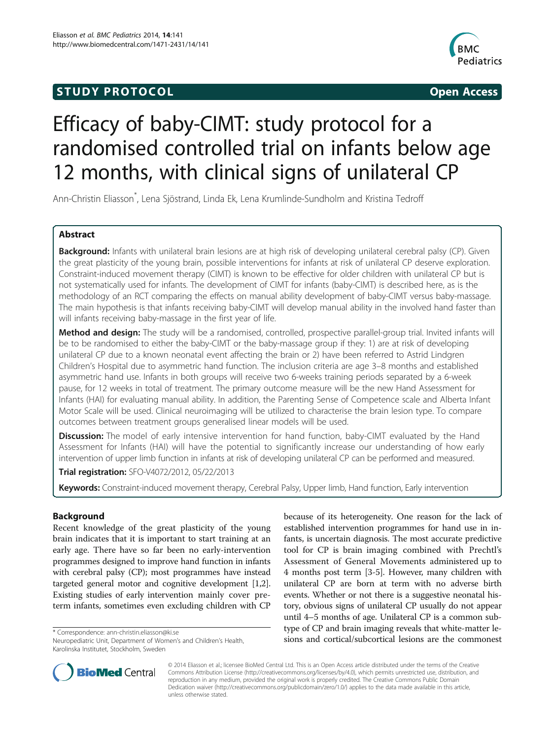# <span id="page-0-0"></span>**STUDY PROTOCOL** And the set of the set of the set of the set of the set of the set of the set of the set of the set of the set of the set of the set of the set of the set of the set of the set of the set of the set of the



# Efficacy of baby-CIMT: study protocol for a randomised controlled trial on infants below age 12 months, with clinical signs of unilateral CP

Ann-Christin Eliasson\* , Lena Sjöstrand, Linda Ek, Lena Krumlinde-Sundholm and Kristina Tedroff

# Abstract

Background: Infants with unilateral brain lesions are at high risk of developing unilateral cerebral palsy (CP). Given the great plasticity of the young brain, possible interventions for infants at risk of unilateral CP deserve exploration. Constraint-induced movement therapy (CIMT) is known to be effective for older children with unilateral CP but is not systematically used for infants. The development of CIMT for infants (baby-CIMT) is described here, as is the methodology of an RCT comparing the effects on manual ability development of baby-CIMT versus baby-massage. The main hypothesis is that infants receiving baby-CIMT will develop manual ability in the involved hand faster than will infants receiving baby-massage in the first year of life.

Method and design: The study will be a randomised, controlled, prospective parallel-group trial. Invited infants will be to be randomised to either the baby-CIMT or the baby-massage group if they: 1) are at risk of developing unilateral CP due to a known neonatal event affecting the brain or 2) have been referred to Astrid Lindgren Children's Hospital due to asymmetric hand function. The inclusion criteria are age 3–8 months and established asymmetric hand use. Infants in both groups will receive two 6-weeks training periods separated by a 6-week pause, for 12 weeks in total of treatment. The primary outcome measure will be the new Hand Assessment for Infants (HAI) for evaluating manual ability. In addition, the Parenting Sense of Competence scale and Alberta Infant Motor Scale will be used. Clinical neuroimaging will be utilized to characterise the brain lesion type. To compare outcomes between treatment groups generalised linear models will be used.

**Discussion:** The model of early intensive intervention for hand function, baby-CIMT evaluated by the Hand Assessment for Infants (HAI) will have the potential to significantly increase our understanding of how early intervention of upper limb function in infants at risk of developing unilateral CP can be performed and measured.

Trial registration: [SFO-V4072/2012, 05/22/2013](https://clinicaltrials.gov/ct2/show/NCT01864811?term=Baby-CIMT&rank=1)

Keywords: Constraint-induced movement therapy, Cerebral Palsy, Upper limb, Hand function, Early intervention

# Background

Recent knowledge of the great plasticity of the young brain indicates that it is important to start training at an early age. There have so far been no early-intervention programmes designed to improve hand function in infants with cerebral palsy (CP); most programmes have instead targeted general motor and cognitive development [[1](#page-9-0),[2](#page-9-0)]. Existing studies of early intervention mainly cover preterm infants, sometimes even excluding children with CP

because of its heterogeneity. One reason for the lack of established intervention programmes for hand use in infants, is uncertain diagnosis. The most accurate predictive tool for CP is brain imaging combined with Prechtl's Assessment of General Movements administered up to 4 months post term [[3-5\]](#page-9-0). However, many children with unilateral CP are born at term with no adverse birth events. Whether or not there is a suggestive neonatal history, obvious signs of unilateral CP usually do not appear until 4–5 months of age. Unilateral CP is a common subtype of CP and brain imaging reveals that white-matter lesions an-christin.eliasson@ki.se end Children's Health, end Children's Health, end Children's Health, end Cortical/subcortical lesions are the commonest \* Correspondence: [ann-christin.eliasson@ki.se](mailto:ann-christin.eliasson@ki.se) end Children's Health,



© 2014 Eliasson et al.; licensee BioMed Central Ltd. This is an Open Access article distributed under the terms of the Creative Commons Attribution License [\(http://creativecommons.org/licenses/by/4.0\)](http://creativecommons.org/licenses/by/4.0), which permits unrestricted use, distribution, and reproduction in any medium, provided the original work is properly credited. The Creative Commons Public Domain Dedication waiver [\(http://creativecommons.org/publicdomain/zero/1.0/](http://creativecommons.org/publicdomain/zero/1.0/)) applies to the data made available in this article, unless otherwise stated.

Neuropediatric Unit, Department of Women's and Children's Health, Karolinska Institutet, Stockholm, Sweden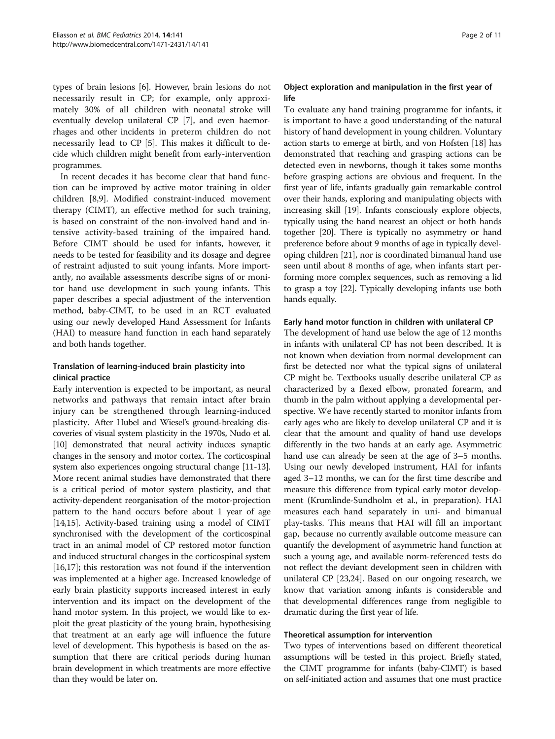types of brain lesions [\[6\]](#page-9-0). However, brain lesions do not necessarily result in CP; for example, only approximately 30% of all children with neonatal stroke will eventually develop unilateral CP [\[7](#page-9-0)], and even haemorrhages and other incidents in preterm children do not necessarily lead to CP [[5](#page-9-0)]. This makes it difficult to decide which children might benefit from early-intervention programmes.

In recent decades it has become clear that hand function can be improved by active motor training in older children [\[8,9\]](#page-9-0). Modified constraint-induced movement therapy (CIMT), an effective method for such training, is based on constraint of the non-involved hand and intensive activity-based training of the impaired hand. Before CIMT should be used for infants, however, it needs to be tested for feasibility and its dosage and degree of restraint adjusted to suit young infants. More importantly, no available assessments describe signs of or monitor hand use development in such young infants. This paper describes a special adjustment of the intervention method, baby-CIMT, to be used in an RCT evaluated using our newly developed Hand Assessment for Infants (HAI) to measure hand function in each hand separately and both hands together.

# Translation of learning-induced brain plasticity into clinical practice

Early intervention is expected to be important, as neural networks and pathways that remain intact after brain injury can be strengthened through learning-induced plasticity. After Hubel and Wiesel's ground-breaking discoveries of visual system plasticity in the 1970s, Nudo et al. [[10](#page-9-0)] demonstrated that neural activity induces synaptic changes in the sensory and motor cortex. The corticospinal system also experiences ongoing structural change [\[11-13](#page-9-0)]. More recent animal studies have demonstrated that there is a critical period of motor system plasticity, and that activity-dependent reorganisation of the motor-projection pattern to the hand occurs before about 1 year of age [[14,15](#page-9-0)]. Activity-based training using a model of CIMT synchronised with the development of the corticospinal tract in an animal model of CP restored motor function and induced structural changes in the corticospinal system  $[16,17]$  $[16,17]$  $[16,17]$ ; this restoration was not found if the intervention was implemented at a higher age. Increased knowledge of early brain plasticity supports increased interest in early intervention and its impact on the development of the hand motor system. In this project, we would like to exploit the great plasticity of the young brain, hypothesising that treatment at an early age will influence the future level of development. This hypothesis is based on the assumption that there are critical periods during human brain development in which treatments are more effective than they would be later on.

# Object exploration and manipulation in the first year of life

To evaluate any hand training programme for infants, it is important to have a good understanding of the natural history of hand development in young children. Voluntary action starts to emerge at birth, and von Hofsten [\[18\]](#page-9-0) has demonstrated that reaching and grasping actions can be detected even in newborns, though it takes some months before grasping actions are obvious and frequent. In the first year of life, infants gradually gain remarkable control over their hands, exploring and manipulating objects with increasing skill [[19\]](#page-9-0). Infants consciously explore objects, typically using the hand nearest an object or both hands together [[20](#page-9-0)]. There is typically no asymmetry or hand preference before about 9 months of age in typically developing children [[21](#page-9-0)], nor is coordinated bimanual hand use seen until about 8 months of age, when infants start performing more complex sequences, such as removing a lid to grasp a toy [\[22\]](#page-9-0). Typically developing infants use both hands equally.

## Early hand motor function in children with unilateral CP

The development of hand use below the age of 12 months in infants with unilateral CP has not been described. It is not known when deviation from normal development can first be detected nor what the typical signs of unilateral CP might be. Textbooks usually describe unilateral CP as characterized by a flexed elbow, pronated forearm, and thumb in the palm without applying a developmental perspective. We have recently started to monitor infants from early ages who are likely to develop unilateral CP and it is clear that the amount and quality of hand use develops differently in the two hands at an early age. Asymmetric hand use can already be seen at the age of 3–5 months. Using our newly developed instrument, HAI for infants aged 3–12 months, we can for the first time describe and measure this difference from typical early motor development (Krumlinde-Sundholm et al., in preparation). HAI measures each hand separately in uni- and bimanual play-tasks. This means that HAI will fill an important gap, because no currently available outcome measure can quantify the development of asymmetric hand function at such a young age, and available norm-referenced tests do not reflect the deviant development seen in children with unilateral CP [\[23,24\]](#page-9-0). Based on our ongoing research, we know that variation among infants is considerable and that developmental differences range from negligible to dramatic during the first year of life.

## Theoretical assumption for intervention

Two types of interventions based on different theoretical assumptions will be tested in this project. Briefly stated, the CIMT programme for infants (baby-CIMT) is based on self-initiated action and assumes that one must practice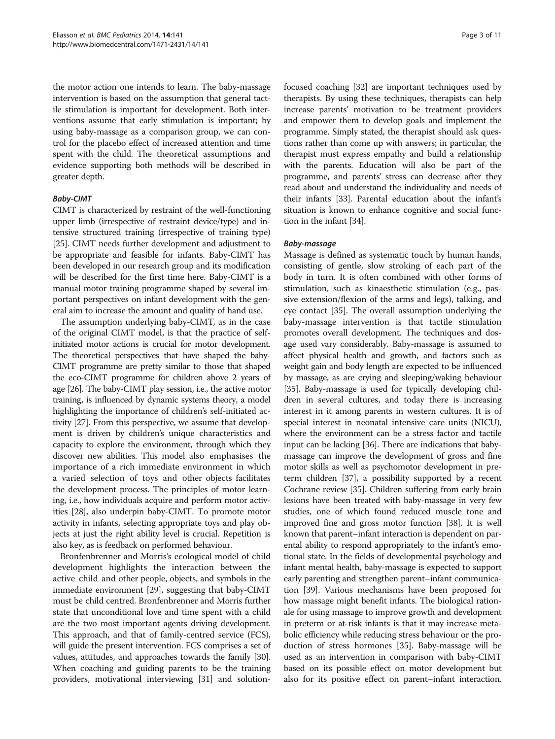the motor action one intends to learn. The baby-massage intervention is based on the assumption that general tactile stimulation is important for development. Both interventions assume that early stimulation is important; by using baby-massage as a comparison group, we can control for the placebo effect of increased attention and time spent with the child. The theoretical assumptions and evidence supporting both methods will be described in greater depth.

## Baby-CIMT

CIMT is characterized by restraint of the well-functioning upper limb (irrespective of restraint device/type) and intensive structured training (irrespective of training type) [[25](#page-9-0)]. CIMT needs further development and adjustment to be appropriate and feasible for infants. Baby-CIMT has been developed in our research group and its modification will be described for the first time here. Baby-CIMT is a manual motor training programme shaped by several important perspectives on infant development with the general aim to increase the amount and quality of hand use.

The assumption underlying baby-CIMT, as in the case of the original CIMT model, is that the practice of selfinitiated motor actions is crucial for motor development. The theoretical perspectives that have shaped the baby-CIMT programme are pretty similar to those that shaped the eco-CIMT programme for children above 2 years of age [\[26\]](#page-9-0). The baby-CIMT play session, i.e., the active motor training, is influenced by dynamic systems theory, a model highlighting the importance of children's self-initiated activity [\[27](#page-9-0)]. From this perspective, we assume that development is driven by children's unique characteristics and capacity to explore the environment, through which they discover new abilities. This model also emphasises the importance of a rich immediate environment in which a varied selection of toys and other objects facilitates the development process. The principles of motor learning, i.e., how individuals acquire and perform motor activities [[28](#page-9-0)], also underpin baby-CIMT. To promote motor activity in infants, selecting appropriate toys and play objects at just the right ability level is crucial. Repetition is also key, as is feedback on performed behaviour.

Bronfenbrenner and Morris's ecological model of child development highlights the interaction between the active child and other people, objects, and symbols in the immediate environment [\[29](#page-9-0)], suggesting that baby-CIMT must be child centred. Bronfenbrenner and Morris further state that unconditional love and time spent with a child are the two most important agents driving development. This approach, and that of family-centred service (FCS), will guide the present intervention. FCS comprises a set of values, attitudes, and approaches towards the family [[30](#page-9-0)]. When coaching and guiding parents to be the training providers, motivational interviewing [[31](#page-9-0)] and solution-

focused coaching [\[32\]](#page-9-0) are important techniques used by therapists. By using these techniques, therapists can help increase parents' motivation to be treatment providers and empower them to develop goals and implement the programme. Simply stated, the therapist should ask questions rather than come up with answers; in particular, the therapist must express empathy and build a relationship with the parents. Education will also be part of the programme, and parents' stress can decrease after they read about and understand the individuality and needs of their infants [\[33](#page-9-0)]. Parental education about the infant's situation is known to enhance cognitive and social function in the infant [\[34\]](#page-9-0).

#### Baby-massage

Massage is defined as systematic touch by human hands, consisting of gentle, slow stroking of each part of the body in turn. It is often combined with other forms of stimulation, such as kinaesthetic stimulation (e.g., passive extension/flexion of the arms and legs), talking, and eye contact [\[35](#page-9-0)]. The overall assumption underlying the baby-massage intervention is that tactile stimulation promotes overall development. The techniques and dosage used vary considerably. Baby-massage is assumed to affect physical health and growth, and factors such as weight gain and body length are expected to be influenced by massage, as are crying and sleeping/waking behaviour [[35](#page-9-0)]. Baby-massage is used for typically developing children in several cultures, and today there is increasing interest in it among parents in western cultures. It is of special interest in neonatal intensive care units (NICU), where the environment can be a stress factor and tactile input can be lacking [\[36\]](#page-9-0). There are indications that babymassage can improve the development of gross and fine motor skills as well as psychomotor development in preterm children [\[37\]](#page-9-0), a possibility supported by a recent Cochrane review [[35](#page-9-0)]. Children suffering from early brain lesions have been treated with baby-massage in very few studies, one of which found reduced muscle tone and improved fine and gross motor function [[38](#page-9-0)]. It is well known that parent–infant interaction is dependent on parental ability to respond appropriately to the infant's emotional state. In the fields of developmental psychology and infant mental health, baby-massage is expected to support early parenting and strengthen parent–infant communication [[39](#page-9-0)]. Various mechanisms have been proposed for how massage might benefit infants. The biological rationale for using massage to improve growth and development in preterm or at-risk infants is that it may increase metabolic efficiency while reducing stress behaviour or the production of stress hormones [[35\]](#page-9-0). Baby-massage will be used as an intervention in comparison with baby-CIMT based on its possible effect on motor development but also for its positive effect on parent–infant interaction.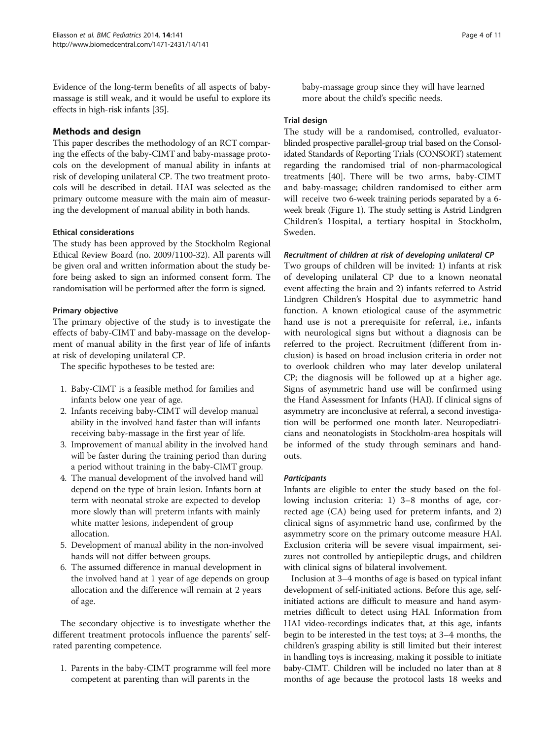Evidence of the long-term benefits of all aspects of babymassage is still weak, and it would be useful to explore its effects in high-risk infants [\[35\]](#page-9-0).

# Methods and design

This paper describes the methodology of an RCT comparing the effects of the baby-CIMT and baby-massage protocols on the development of manual ability in infants at risk of developing unilateral CP. The two treatment protocols will be described in detail. HAI was selected as the primary outcome measure with the main aim of measuring the development of manual ability in both hands.

# Ethical considerations

The study has been approved by the Stockholm Regional Ethical Review Board (no. 2009/1100-32). All parents will be given oral and written information about the study before being asked to sign an informed consent form. The randomisation will be performed after the form is signed.

# Primary objective

The primary objective of the study is to investigate the effects of baby-CIMT and baby-massage on the development of manual ability in the first year of life of infants at risk of developing unilateral CP.

The specific hypotheses to be tested are:

- 1. Baby-CIMT is a feasible method for families and infants below one year of age.
- 2. Infants receiving baby-CIMT will develop manual ability in the involved hand faster than will infants receiving baby-massage in the first year of life.
- 3. Improvement of manual ability in the involved hand will be faster during the training period than during a period without training in the baby-CIMT group.
- 4. The manual development of the involved hand will depend on the type of brain lesion. Infants born at term with neonatal stroke are expected to develop more slowly than will preterm infants with mainly white matter lesions, independent of group allocation.
- 5. Development of manual ability in the non-involved hands will not differ between groups.
- 6. The assumed difference in manual development in the involved hand at 1 year of age depends on group allocation and the difference will remain at 2 years of age.

The secondary objective is to investigate whether the different treatment protocols influence the parents' selfrated parenting competence.

1. Parents in the baby-CIMT programme will feel more competent at parenting than will parents in the

baby-massage group since they will have learned more about the child's specific needs.

# Trial design

The study will be a randomised, controlled, evaluatorblinded prospective parallel-group trial based on the Consolidated Standards of Reporting Trials (CONSORT) statement regarding the randomised trial of non-pharmacological treatments [[40](#page-9-0)]. There will be two arms, baby-CIMT and baby-massage; children randomised to either arm will receive two 6-week training periods separated by a 6 week break (Figure [1](#page-4-0)). The study setting is Astrid Lindgren Children's Hospital, a tertiary hospital in Stockholm, Sweden.

# Recruitment of children at risk of developing unilateral CP

Two groups of children will be invited: 1) infants at risk of developing unilateral CP due to a known neonatal event affecting the brain and 2) infants referred to Astrid Lindgren Children's Hospital due to asymmetric hand function. A known etiological cause of the asymmetric hand use is not a prerequisite for referral, i.e., infants with neurological signs but without a diagnosis can be referred to the project. Recruitment (different from inclusion) is based on broad inclusion criteria in order not to overlook children who may later develop unilateral CP; the diagnosis will be followed up at a higher age. Signs of asymmetric hand use will be confirmed using the Hand Assessment for Infants (HAI). If clinical signs of asymmetry are inconclusive at referral, a second investigation will be performed one month later. Neuropediatricians and neonatologists in Stockholm-area hospitals will be informed of the study through seminars and handouts.

# **Participants**

Infants are eligible to enter the study based on the following inclusion criteria: 1) 3–8 months of age, corrected age (CA) being used for preterm infants, and 2) clinical signs of asymmetric hand use, confirmed by the asymmetry score on the primary outcome measure HAI. Exclusion criteria will be severe visual impairment, seizures not controlled by antiepileptic drugs, and children with clinical signs of bilateral involvement.

Inclusion at 3–4 months of age is based on typical infant development of self-initiated actions. Before this age, selfinitiated actions are difficult to measure and hand asymmetries difficult to detect using HAI. Information from HAI video-recordings indicates that, at this age, infants begin to be interested in the test toys; at 3–4 months, the children's grasping ability is still limited but their interest in handling toys is increasing, making it possible to initiate baby-CIMT. Children will be included no later than at 8 months of age because the protocol lasts 18 weeks and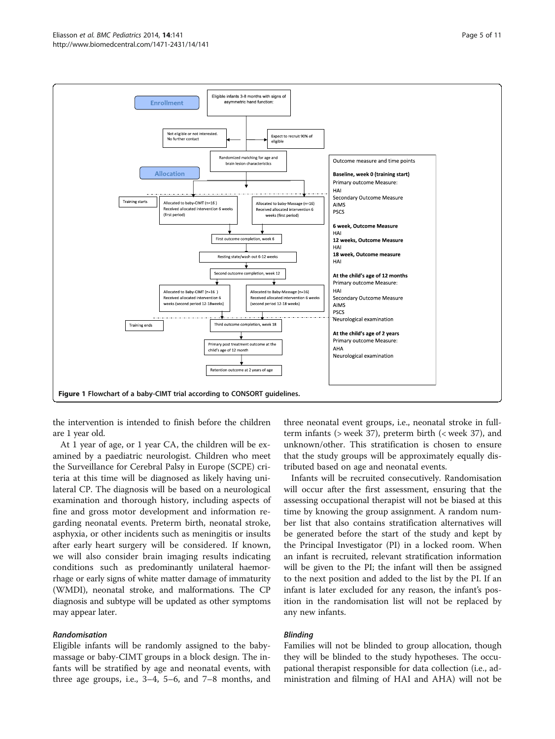<span id="page-4-0"></span>

the intervention is intended to finish before the children are 1 year old.

At 1 year of age, or 1 year CA, the children will be examined by a paediatric neurologist. Children who meet the Surveillance for Cerebral Palsy in Europe (SCPE) criteria at this time will be diagnosed as likely having unilateral CP. The diagnosis will be based on a neurological examination and thorough history, including aspects of fine and gross motor development and information regarding neonatal events. Preterm birth, neonatal stroke, asphyxia, or other incidents such as meningitis or insults after early heart surgery will be considered. If known, we will also consider brain imaging results indicating conditions such as predominantly unilateral haemorrhage or early signs of white matter damage of immaturity (WMDI), neonatal stroke, and malformations. The CP diagnosis and subtype will be updated as other symptoms may appear later.

#### Randomisation

Eligible infants will be randomly assigned to the babymassage or baby-CIMT groups in a block design. The infants will be stratified by age and neonatal events, with three age groups, i.e., 3–4, 5–6, and 7–8 months, and three neonatal event groups, i.e., neonatal stroke in fullterm infants (> week 37), preterm birth (< week 37), and unknown/other. This stratification is chosen to ensure that the study groups will be approximately equally distributed based on age and neonatal events.

Infants will be recruited consecutively. Randomisation will occur after the first assessment, ensuring that the assessing occupational therapist will not be biased at this time by knowing the group assignment. A random number list that also contains stratification alternatives will be generated before the start of the study and kept by the Principal Investigator (PI) in a locked room. When an infant is recruited, relevant stratification information will be given to the PI; the infant will then be assigned to the next position and added to the list by the PI. If an infant is later excluded for any reason, the infant's position in the randomisation list will not be replaced by any new infants.

#### Blinding

Families will not be blinded to group allocation, though they will be blinded to the study hypotheses. The occupational therapist responsible for data collection (i.e., administration and filming of HAI and AHA) will not be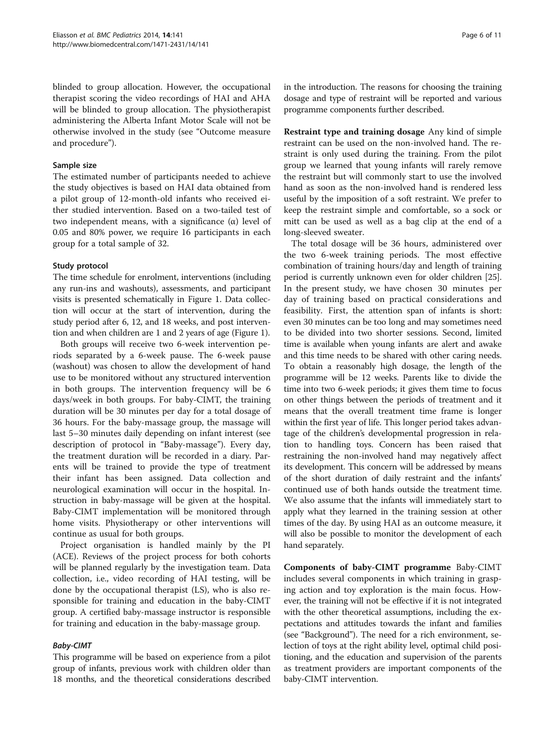blinded to group allocation. However, the occupational therapist scoring the video recordings of HAI and AHA will be blinded to group allocation. The physiotherapist administering the Alberta Infant Motor Scale will not be otherwise involved in the study (see "[Outcome measure](#page-7-0) [and procedure](#page-7-0)").

#### Sample size

The estimated number of participants needed to achieve the study objectives is based on HAI data obtained from a pilot group of 12-month-old infants who received either studied intervention. Based on a two-tailed test of two independent means, with a significance (α) level of 0.05 and 80% power, we require 16 participants in each group for a total sample of 32.

#### Study protocol

The time schedule for enrolment, interventions (including any run-ins and washouts), assessments, and participant visits is presented schematically in Figure [1.](#page-4-0) Data collection will occur at the start of intervention, during the study period after 6, 12, and 18 weeks, and post intervention and when children are 1 and 2 years of age (Figure [1](#page-4-0)).

Both groups will receive two 6-week intervention periods separated by a 6-week pause. The 6-week pause (washout) was chosen to allow the development of hand use to be monitored without any structured intervention in both groups. The intervention frequency will be 6 days/week in both groups. For baby-CIMT, the training duration will be 30 minutes per day for a total dosage of 36 hours. For the baby-massage group, the massage will last 5–30 minutes daily depending on infant interest (see description of protocol in "[Baby-massage](#page-7-0)"). Every day, the treatment duration will be recorded in a diary. Parents will be trained to provide the type of treatment their infant has been assigned. Data collection and neurological examination will occur in the hospital. Instruction in baby-massage will be given at the hospital. Baby-CIMT implementation will be monitored through home visits. Physiotherapy or other interventions will continue as usual for both groups.

Project organisation is handled mainly by the PI (ACE). Reviews of the project process for both cohorts will be planned regularly by the investigation team. Data collection, i.e., video recording of HAI testing, will be done by the occupational therapist (LS), who is also responsible for training and education in the baby-CIMT group. A certified baby-massage instructor is responsible for training and education in the baby-massage group.

## Baby-CIMT

This programme will be based on experience from a pilot group of infants, previous work with children older than 18 months, and the theoretical considerations described in the introduction. The reasons for choosing the training dosage and type of restraint will be reported and various programme components further described.

Restraint type and training dosage Any kind of simple restraint can be used on the non-involved hand. The restraint is only used during the training. From the pilot group we learned that young infants will rarely remove the restraint but will commonly start to use the involved hand as soon as the non-involved hand is rendered less useful by the imposition of a soft restraint. We prefer to keep the restraint simple and comfortable, so a sock or mitt can be used as well as a bag clip at the end of a long-sleeved sweater.

The total dosage will be 36 hours, administered over the two 6-week training periods. The most effective combination of training hours/day and length of training period is currently unknown even for older children [[25](#page-9-0)]. In the present study, we have chosen 30 minutes per day of training based on practical considerations and feasibility. First, the attention span of infants is short: even 30 minutes can be too long and may sometimes need to be divided into two shorter sessions. Second, limited time is available when young infants are alert and awake and this time needs to be shared with other caring needs. To obtain a reasonably high dosage, the length of the programme will be 12 weeks. Parents like to divide the time into two 6-week periods; it gives them time to focus on other things between the periods of treatment and it means that the overall treatment time frame is longer within the first year of life. This longer period takes advantage of the children's developmental progression in relation to handling toys. Concern has been raised that restraining the non-involved hand may negatively affect its development. This concern will be addressed by means of the short duration of daily restraint and the infants' continued use of both hands outside the treatment time. We also assume that the infants will immediately start to apply what they learned in the training session at other times of the day. By using HAI as an outcome measure, it will also be possible to monitor the development of each hand separately.

Components of baby-CIMT programme Baby-CIMT includes several components in which training in grasping action and toy exploration is the main focus. However, the training will not be effective if it is not integrated with the other theoretical assumptions, including the expectations and attitudes towards the infant and families (see "[Background](#page-0-0)"). The need for a rich environment, selection of toys at the right ability level, optimal child positioning, and the education and supervision of the parents as treatment providers are important components of the baby-CIMT intervention.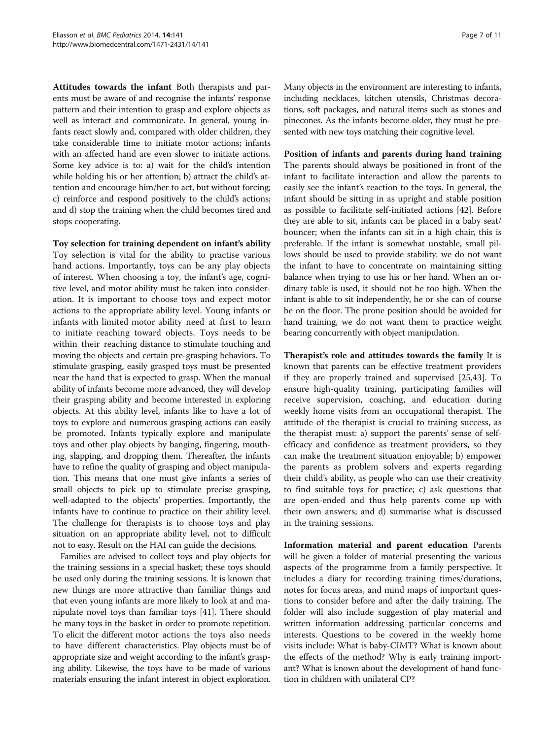Attitudes towards the infant Both therapists and parents must be aware of and recognise the infants' response pattern and their intention to grasp and explore objects as well as interact and communicate. In general, young infants react slowly and, compared with older children, they take considerable time to initiate motor actions; infants with an affected hand are even slower to initiate actions. Some key advice is to: a) wait for the child's intention while holding his or her attention; b) attract the child's attention and encourage him/her to act, but without forcing; c) reinforce and respond positively to the child's actions; and d) stop the training when the child becomes tired and stops cooperating.

Toy selection for training dependent on infant's ability Toy selection is vital for the ability to practise various hand actions. Importantly, toys can be any play objects of interest. When choosing a toy, the infant's age, cognitive level, and motor ability must be taken into consideration. It is important to choose toys and expect motor actions to the appropriate ability level. Young infants or infants with limited motor ability need at first to learn to initiate reaching toward objects. Toys needs to be within their reaching distance to stimulate touching and moving the objects and certain pre-grasping behaviors. To stimulate grasping, easily grasped toys must be presented near the hand that is expected to grasp. When the manual ability of infants become more advanced, they will develop their grasping ability and become interested in exploring objects. At this ability level, infants like to have a lot of toys to explore and numerous grasping actions can easily be promoted. Infants typically explore and manipulate toys and other play objects by banging, fingering, mouthing, slapping, and dropping them. Thereafter, the infants have to refine the quality of grasping and object manipulation. This means that one must give infants a series of small objects to pick up to stimulate precise grasping, well-adapted to the objects' properties. Importantly, the infants have to continue to practice on their ability level. The challenge for therapists is to choose toys and play situation on an appropriate ability level, not to difficult not to easy. Result on the HAI can guide the decisions.

Families are advised to collect toys and play objects for the training sessions in a special basket; these toys should be used only during the training sessions. It is known that new things are more attractive than familiar things and that even young infants are more likely to look at and manipulate novel toys than familiar toys [\[41](#page-9-0)]. There should be many toys in the basket in order to promote repetition. To elicit the different motor actions the toys also needs to have different characteristics. Play objects must be of appropriate size and weight according to the infant's grasping ability. Likewise, the toys have to be made of various materials ensuring the infant interest in object exploration. Many objects in the environment are interesting to infants, including necklaces, kitchen utensils, Christmas decorations, soft packages, and natural items such as stones and pinecones. As the infants become older, they must be presented with new toys matching their cognitive level.

Position of infants and parents during hand training The parents should always be positioned in front of the infant to facilitate interaction and allow the parents to easily see the infant's reaction to the toys. In general, the infant should be sitting in as upright and stable position as possible to facilitate self-initiated actions [\[42](#page-9-0)]. Before they are able to sit, infants can be placed in a baby seat/ bouncer; when the infants can sit in a high chair, this is preferable. If the infant is somewhat unstable, small pillows should be used to provide stability: we do not want the infant to have to concentrate on maintaining sitting balance when trying to use his or her hand. When an ordinary table is used, it should not be too high. When the infant is able to sit independently, he or she can of course be on the floor. The prone position should be avoided for hand training, we do not want them to practice weight bearing concurrently with object manipulation.

Therapist's role and attitudes towards the family It is known that parents can be effective treatment providers if they are properly trained and supervised [\[25](#page-9-0)[,43](#page-10-0)]. To ensure high-quality training, participating families will receive supervision, coaching, and education during weekly home visits from an occupational therapist. The attitude of the therapist is crucial to training success, as the therapist must: a) support the parents' sense of selfefficacy and confidence as treatment providers, so they can make the treatment situation enjoyable; b) empower the parents as problem solvers and experts regarding their child's ability, as people who can use their creativity to find suitable toys for practice; c) ask questions that are open-ended and thus help parents come up with their own answers; and d) summarise what is discussed in the training sessions.

Information material and parent education Parents will be given a folder of material presenting the various aspects of the programme from a family perspective. It includes a diary for recording training times/durations, notes for focus areas, and mind maps of important questions to consider before and after the daily training. The folder will also include suggestion of play material and written information addressing particular concerns and interests. Questions to be covered in the weekly home visits include: What is baby-CIMT? What is known about the effects of the method? Why is early training important? What is known about the development of hand function in children with unilateral CP?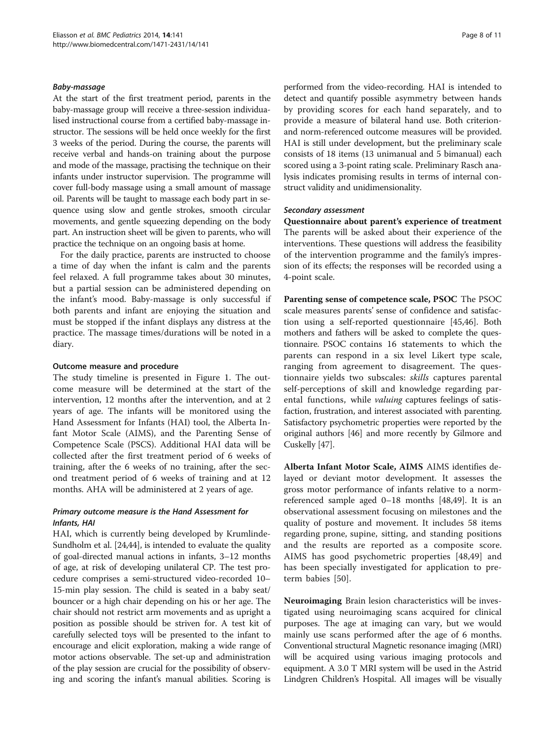#### <span id="page-7-0"></span>Baby-massage

At the start of the first treatment period, parents in the baby-massage group will receive a three-session individualised instructional course from a certified baby-massage instructor. The sessions will be held once weekly for the first 3 weeks of the period. During the course, the parents will receive verbal and hands-on training about the purpose and mode of the massage, practising the technique on their infants under instructor supervision. The programme will cover full-body massage using a small amount of massage oil. Parents will be taught to massage each body part in sequence using slow and gentle strokes, smooth circular movements, and gentle squeezing depending on the body part. An instruction sheet will be given to parents, who will practice the technique on an ongoing basis at home.

For the daily practice, parents are instructed to choose a time of day when the infant is calm and the parents feel relaxed. A full programme takes about 30 minutes, but a partial session can be administered depending on the infant's mood. Baby-massage is only successful if both parents and infant are enjoying the situation and must be stopped if the infant displays any distress at the practice. The massage times/durations will be noted in a diary.

#### Outcome measure and procedure

The study timeline is presented in Figure [1.](#page-4-0) The outcome measure will be determined at the start of the intervention, 12 months after the intervention, and at 2 years of age. The infants will be monitored using the Hand Assessment for Infants (HAI) tool, the Alberta Infant Motor Scale (AIMS), and the Parenting Sense of Competence Scale (PSCS). Additional HAI data will be collected after the first treatment period of 6 weeks of training, after the 6 weeks of no training, after the second treatment period of 6 weeks of training and at 12 months. AHA will be administered at 2 years of age.

# Primary outcome measure is the Hand Assessment for Infants, HAI

HAI, which is currently being developed by Krumlinde-Sundholm et al. [[24](#page-9-0)[,44](#page-10-0)], is intended to evaluate the quality of goal-directed manual actions in infants, 3–12 months of age, at risk of developing unilateral CP. The test procedure comprises a semi-structured video-recorded 10– 15-min play session. The child is seated in a baby seat/ bouncer or a high chair depending on his or her age. The chair should not restrict arm movements and as upright a position as possible should be striven for. A test kit of carefully selected toys will be presented to the infant to encourage and elicit exploration, making a wide range of motor actions observable. The set-up and administration of the play session are crucial for the possibility of observing and scoring the infant's manual abilities. Scoring is

performed from the video-recording. HAI is intended to detect and quantify possible asymmetry between hands by providing scores for each hand separately, and to provide a measure of bilateral hand use. Both criterionand norm-referenced outcome measures will be provided. HAI is still under development, but the preliminary scale consists of 18 items (13 unimanual and 5 bimanual) each scored using a 3-point rating scale. Preliminary Rasch analysis indicates promising results in terms of internal construct validity and unidimensionality.

#### Secondary assessment

Questionnaire about parent's experience of treatment The parents will be asked about their experience of the interventions. These questions will address the feasibility of the intervention programme and the family's impression of its effects; the responses will be recorded using a 4-point scale.

Parenting sense of competence scale, PSOC The PSOC scale measures parents' sense of confidence and satisfaction using a self-reported questionnaire [\[45,46](#page-10-0)]. Both mothers and fathers will be asked to complete the questionnaire. PSOC contains 16 statements to which the parents can respond in a six level Likert type scale, ranging from agreement to disagreement. The questionnaire yields two subscales: skills captures parental self-perceptions of skill and knowledge regarding parental functions, while *valuing* captures feelings of satisfaction, frustration, and interest associated with parenting. Satisfactory psychometric properties were reported by the original authors [\[46](#page-10-0)] and more recently by Gilmore and Cuskelly [\[47\]](#page-10-0).

Alberta Infant Motor Scale, AIMS AIMS identifies delayed or deviant motor development. It assesses the gross motor performance of infants relative to a normreferenced sample aged 0–18 months [\[48,49\]](#page-10-0). It is an observational assessment focusing on milestones and the quality of posture and movement. It includes 58 items regarding prone, supine, sitting, and standing positions and the results are reported as a composite score. AIMS has good psychometric properties [\[48](#page-10-0),[49\]](#page-10-0) and has been specially investigated for application to preterm babies [[50\]](#page-10-0).

Neuroimaging Brain lesion characteristics will be investigated using neuroimaging scans acquired for clinical purposes. The age at imaging can vary, but we would mainly use scans performed after the age of 6 months. Conventional structural Magnetic resonance imaging (MRI) will be acquired using various imaging protocols and equipment. A 3.0 T MRI system will be used in the Astrid Lindgren Children's Hospital. All images will be visually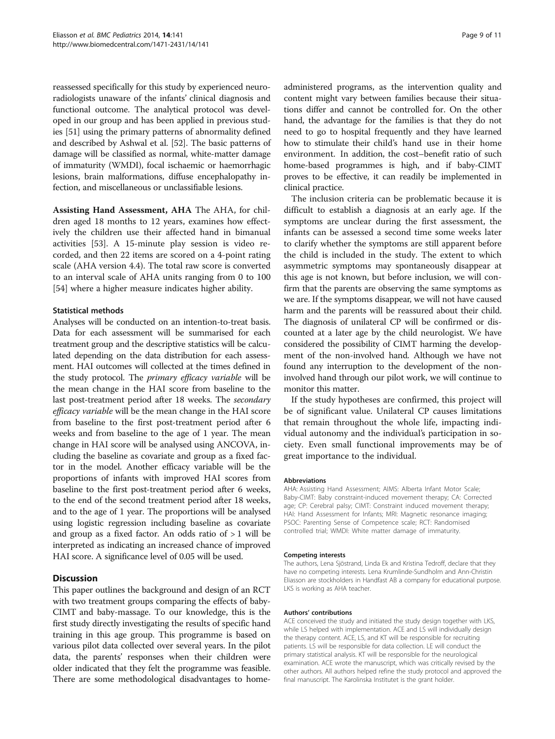reassessed specifically for this study by experienced neuroradiologists unaware of the infants' clinical diagnosis and functional outcome. The analytical protocol was developed in our group and has been applied in previous studies [\[51\]](#page-10-0) using the primary patterns of abnormality defined and described by Ashwal et al. [[52](#page-10-0)]. The basic patterns of damage will be classified as normal, white-matter damage of immaturity (WMDI), focal ischaemic or haemorrhagic lesions, brain malformations, diffuse encephalopathy infection, and miscellaneous or unclassifiable lesions.

Assisting Hand Assessment, AHA The AHA, for children aged 18 months to 12 years, examines how effectively the children use their affected hand in bimanual activities [\[53\]](#page-10-0). A 15-minute play session is video recorded, and then 22 items are scored on a 4-point rating scale (AHA version 4.4). The total raw score is converted to an interval scale of AHA units ranging from 0 to 100 [[54\]](#page-10-0) where a higher measure indicates higher ability.

## Statistical methods

Analyses will be conducted on an intention-to-treat basis. Data for each assessment will be summarised for each treatment group and the descriptive statistics will be calculated depending on the data distribution for each assessment. HAI outcomes will collected at the times defined in the study protocol. The primary efficacy variable will be the mean change in the HAI score from baseline to the last post-treatment period after 18 weeks. The secondary efficacy variable will be the mean change in the HAI score from baseline to the first post-treatment period after 6 weeks and from baseline to the age of 1 year. The mean change in HAI score will be analysed using ANCOVA, including the baseline as covariate and group as a fixed factor in the model. Another efficacy variable will be the proportions of infants with improved HAI scores from baseline to the first post-treatment period after 6 weeks, to the end of the second treatment period after 18 weeks, and to the age of 1 year. The proportions will be analysed using logistic regression including baseline as covariate and group as a fixed factor. An odds ratio of  $> 1$  will be interpreted as indicating an increased chance of improved HAI score. A significance level of 0.05 will be used.

## **Discussion**

This paper outlines the background and design of an RCT with two treatment groups comparing the effects of baby-CIMT and baby-massage. To our knowledge, this is the first study directly investigating the results of specific hand training in this age group. This programme is based on various pilot data collected over several years. In the pilot data, the parents' responses when their children were older indicated that they felt the programme was feasible. There are some methodological disadvantages to home-

administered programs, as the intervention quality and content might vary between families because their situations differ and cannot be controlled for. On the other hand, the advantage for the families is that they do not need to go to hospital frequently and they have learned how to stimulate their child's hand use in their home environment. In addition, the cost–benefit ratio of such home-based programmes is high, and if baby-CIMT proves to be effective, it can readily be implemented in clinical practice.

The inclusion criteria can be problematic because it is difficult to establish a diagnosis at an early age. If the symptoms are unclear during the first assessment, the infants can be assessed a second time some weeks later to clarify whether the symptoms are still apparent before the child is included in the study. The extent to which asymmetric symptoms may spontaneously disappear at this age is not known, but before inclusion, we will confirm that the parents are observing the same symptoms as we are. If the symptoms disappear, we will not have caused harm and the parents will be reassured about their child. The diagnosis of unilateral CP will be confirmed or discounted at a later age by the child neurologist. We have considered the possibility of CIMT harming the development of the non-involved hand. Although we have not found any interruption to the development of the noninvolved hand through our pilot work, we will continue to monitor this matter.

If the study hypotheses are confirmed, this project will be of significant value. Unilateral CP causes limitations that remain throughout the whole life, impacting individual autonomy and the individual's participation in society. Even small functional improvements may be of great importance to the individual.

#### Abbreviations

AHA: Assisting Hand Assessment; AIMS: Alberta Infant Motor Scale; Baby-CIMT: Baby constraint-induced movement therapy; CA: Corrected age; CP: Cerebral palsy; CIMT: Constraint induced movement therapy; HAI: Hand Assessment for Infants; MRI: Magnetic resonance imaging; PSOC: Parenting Sense of Competence scale; RCT: Randomised controlled trial; WMDI: White matter damage of immaturity.

#### Competing interests

The authors, Lena Sjöstrand, Linda Ek and Kristina Tedroff, declare that they have no competing interests. Lena Krumlinde-Sundholm and Ann-Christin Eliasson are stockholders in Handfast AB a company for educational purpose. LKS is working as AHA teacher.

#### Authors' contributions

ACE conceived the study and initiated the study design together with LKS, while LS helped with implementation. ACE and LS will individually design the therapy content. ACE, LS, and KT will be responsible for recruiting patients. LS will be responsible for data collection. LE will conduct the primary statistical analysis. KT will be responsible for the neurological examination. ACE wrote the manuscript, which was critically revised by the other authors. All authors helped refine the study protocol and approved the final manuscript. The Karolinska Institutet is the grant holder.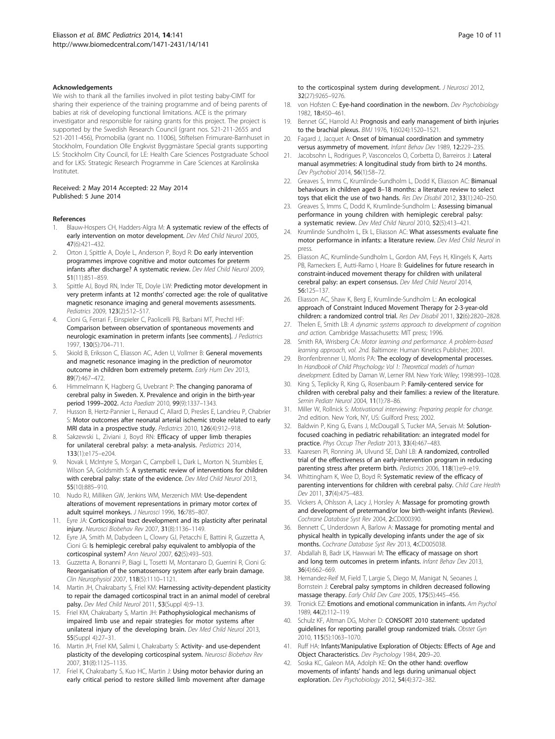#### <span id="page-9-0"></span>Acknowledgements

We wish to thank all the families involved in pilot testing baby-CIMT for sharing their experience of the training programme and of being parents of babies at risk of developing functional limitations. ACE is the primary investigator and responsible for raising grants for this project. The project is supported by the Swedish Research Council (grant nos. 521-211-2655 and 521-2011-456), Promobilia (grant no. 11006), Stiftelsen Frimurare-Barnhuset in Stockholm, Foundation Olle Engkvist Byggmästare Special grants supporting LS: Stockholm City Council, for LE: Health Care Sciences Postgraduate School and for LKS: Strategic Research Programme in Care Sciences at Karolinska Institutet.

#### Received: 2 May 2014 Accepted: 22 May 2014 Published: 5 June 2014

#### References

- 1. Blauw-Hospers CH, Hadders-Algra M: A systematic review of the effects of early intervention on motor development. Dev Med Child Neurol 2005, 47(6):421–432.
- 2. Orton J, Spittle A, Doyle L, Anderson P, Boyd R: Do early intervention programmes improve cognitive and motor outcomes for preterm infants after discharge? A systematic review. Dev Med Child Neurol 2009, 51(11):851–859.
- 3. Spittle AJ, Boyd RN, Inder TE, Doyle LW: Predicting motor development in very preterm infants at 12 months' corrected age: the role of qualitative magnetic resonance imaging and general movements assessments. Pediatrics 2009, 123(2):512–517.
- 4. Cioni G, Ferrari F, Einspieler C, Paolicelli PB, Barbani MT, Prechtl HF: Comparison between observation of spontaneous movements and neurologic examination in preterm infants [see comments]. J Pediatrics 1997, 130(5):704–711.
- Skiold B, Eriksson C, Eliasson AC, Aden U, Vollmer B: General movements and magnetic resonance imaging in the prediction of neuromotor outcome in children born extremely preterm. Early Hum Dev 2013, 89(7):467–472.
- 6. Himmelmann K, Hagberg G, Uvebrant P: The changing panorama of cerebral palsy in Sweden. X. Prevalence and origin in the birth-year period 1999–2002. Acta Paediatr 2010, 99(9):1337–1343.
- 7. Husson B, Hertz-Pannier L, Renaud C, Allard D, Presles E, Landrieu P, Chabrier S: Motor outcomes after neonatal arterial ischemic stroke related to early MRI data in a prospective study. Pediatrics 2010, 126(4):912–918.
- 8. Sakzewski L, Ziviani J, Boyd RN: Efficacy of upper limb therapies for unilateral cerebral palsy: a meta-analysis. Pediatrics 2014, 133(1):e175–e204.
- Novak I, McIntyre S, Morgan C, Campbell L, Dark L, Morton N, Stumbles E, Wilson SA, Goldsmith S: A systematic review of interventions for children with cerebral palsy: state of the evidence. Dev Med Child Neurol 2013, 55(10):885–910.
- 10. Nudo RJ, Milliken GW, Jenkins WM, Merzenich MM: Use-dependent alterations of movement representations in primary motor cortex of adult squirrel monkeys. J Neurosci 1996, 16:785–807.
- 11. Eyre JA: Corticospinal tract development and its plasticity after perinatal injury. Neurosci Biobehav Rev 2007, 31(8):1136–1149.
- 12. Eyre JA, Smith M, Dabydeen L, Clowry GJ, Petacchi E, Battini R, Guzzetta A, Cioni G: Is hemiplegic cerebral palsy equivalent to amblyopia of the corticospinal system? Ann Neurol 2007, 62(5):493–503.
- 13. Guzzetta A, Bonanni P, Biagi L, Tosetti M, Montanaro D, Guerrini R, Cioni G: Reorganisation of the somatosensory system after early brain damage. Clin Neurophysiol 2007, 118(5):1110–1121.
- 14. Martin JH, Chakrabarty S, Friel KM: Harnessing activity-dependent plasticity to repair the damaged corticospinal tract in an animal model of cerebral palsy. Dev Med Child Neurol 2011, 53(Suppl 4):9–13.
- 15. Friel KM, Chakrabarty S, Martin JH: Pathophysiological mechanisms of impaired limb use and repair strategies for motor systems after unilateral injury of the developing brain. Dev Med Child Neurol 2013, 55(Suppl 4):27–31.
- 16. Martin JH, Friel KM, Salimi I, Chakrabarty S: Activity- and use-dependent plasticity of the developing corticospinal system. Neurosci Biobehav Rev 2007, 31(8):1125–1135.
- 17. Friel K, Chakrabarty S, Kuo HC, Martin J: Using motor behavior during an early critical period to restore skilled limb movement after damage

to the corticospinal system during development. J Neurosci 2012, 32(27):9265–9276.

- 18. von Hofsten C: Eye-hand coordination in the newborn. Dev Psychobiology 1982, 18:450–461.
- 19. Bennet GC, Harrold AJ: Prognosis and early management of birth injuries to the brachial plexus. BMJ 1976, 1(6024):1520–1521.
- 20. Fagard J, Jacquet A: Onset of bimanual coordination and symmetry versus asymmetry of movement. Infant Behav Dev 1989, 12:229-235.
- 21. Jacobsohn L, Rodrigues P, Vasconcelos O, Corbetta D, Barreiros J: Lateral manual asymmetries: A longitudinal study from birth to 24 months. Dev Psychobiol 2014, 56(1):58–72.
- 22. Greaves S, Imms C, Krumlinde-Sundholm L, Dodd K, Eliasson AC: Bimanual behaviours in children aged 8–18 months: a literature review to select toys that elicit the use of two hands. Res Dev Disabil 2012, 33(1):240–250.
- 23. Greaves S, Imms C, Dodd K, Krumlinde-Sundholm L: Assessing bimanual performance in young children with hemiplegic cerebral palsy: a systematic review. Dev Med Child Neurol 2010, 52(5):413–421.
- 24. Krumlinde Sundholm L, Ek L, Eliasson AC: What assessments evaluate fine motor performance in infants: a literature review. Dev Med Child Neurol in press.
- 25. Eliasson AC, Krumlinde-Sundholm L, Gordon AM, Feys H, Klingels K, Aarts PB, Rameckers E, Autti-Ramo I, Hoare B: Guidelines for future research in constraint-induced movement therapy for children with unilateral cerebral palsy: an expert consensus. Dev Med Child Neurol 2014, 56:125–137.
- 26. Eliasson AC, Shaw K, Berg E, Krumlinde-Sundholm L: An ecological approach of Constraint Induced Movement Therapy for 2-3-year-old children: a randomized control trial. Res Dev Disabil 2011, 32(6):2820–2828.
- Thelen E, Smith LB: A dynamic systems approach to development of cognition and action. Cambridge Massachusetts: MIT press; 1996.
- 28. Smith RA, Wrisberg CA: Motor learning and performance. A problem-based learning approach, vol. 2nd. Baltimore: Human Kinetics Publisher; 2001.
- 29. Bronfenbrenner U, Morris PA: The ecology of developmental processes. In Handbook of Child Phsychology: Vol 1: Theoretical models of human development. Edited by Daman W, Lerner RM. New York: Wiley; 1998:993–1028.
- 30. King S, Teplicky R, King G, Rosenbaum P: Family-centered service for children with cerebral palsy and their families: a review of the literature. Semin Pediatr Neurol 2004, 11(1):78–86.
- 31. Miller W, Rollnick S: Motivational interviewing: Preparing people for change. 2nd edition. New York, NY, US: Guilford Press; 2002.
- 32. Baldwin P, King G, Evans J, McDougall S, Tucker MA, Servais M: Solutionfocused coaching in pediatric rehabilitation: an integrated model for practice. Phys Occup Ther Pediatr 2013, 33(4):467-483.
- 33. Kaaresen PI, Ronning JA, Ulvund SE, Dahl LB: A randomized, controlled trial of the effectiveness of an early-intervention program in reducing parenting stress after preterm birth. Pediatrics 2006, 118(1):e9-e19.
- 34. Whittingham K, Wee D, Boyd R: Systematic review of the efficacy of parenting interventions for children with cerebral palsy. Child Care Health Dev 2011, 37(4):475–483.
- 35. Vickers A, Ohlsson A, Lacy J, Horsley A: Massage for promoting growth and development of pretermand/or low birth-weight infants (Review). Cochrane Database Syst Rev 2004, 2:CD000390.
- 36. Bennett C, Underdown A, Barlow A: Massage for promoting mental and physical health in typically developing infants under the age of six months. Cochrane Database Syst Rev 2013, 4:CD005038.
- 37. Abdallah B, Badr LK, Hawwari M: The efficacy of massage on short and long term outcomes in preterm infants. Infant Behav Dev 2013, 36(4):662–669.
- 38. Hernandez-Reif M, Field T, Largie S, Diego M, Manigat N, Seoanes J, Bornstein J: Cerebral palsy symptoms in children decreased following massage therapy. Early Child Dev Care 2005, 175(5):445–456.
- 39. Tronick EZ: Emotions and emotional communication in infants. Am Psychol 1989, 44(2):112–119.
- 40. Schulz KF, Altman DG, Moher D: CONSORT 2010 statement: updated guidelines for reporting parallel group randomized trials. Obstet Gyn 2010, 115(5):1063–1070.
- 41. Ruff HA: Infants'Manipulative Exploration of Objects: Effects of Age and Object Characteristics. Dev Psychology 1984, 20:9–20.
- 42. Soska KC, Galeon MA, Adolph KE: On the other hand: overflow movements of infants' hands and legs during unimanual object exploration. Dev Psychobiology 2012, 54(4):372–382.